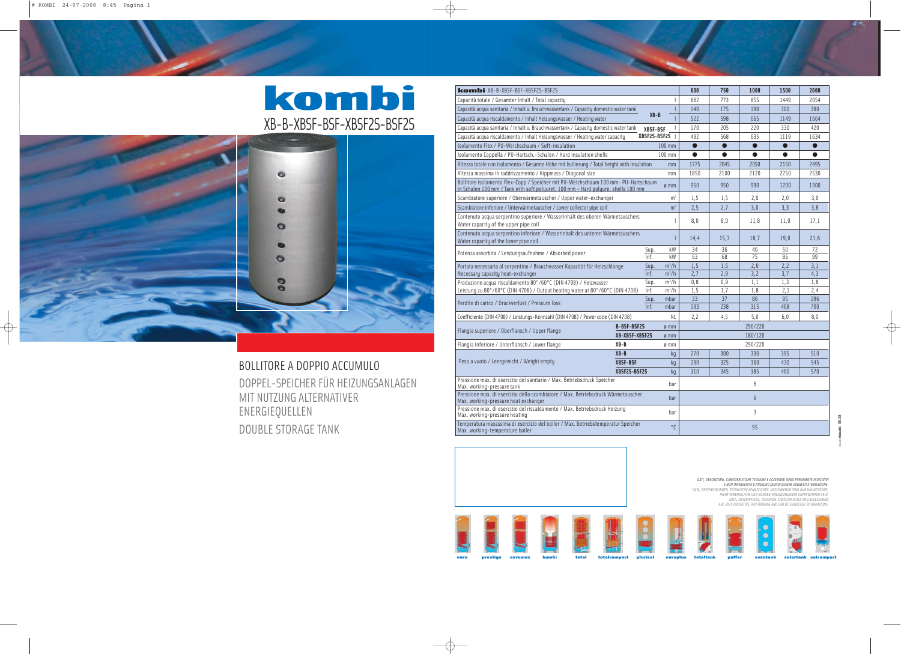BOLLITORE A DOPPIO ACCUMULO DOPPEL-SPEICHER FÜR HEIZUNGSANLAGEN MIT NUTZUNG ALTERNATIVER ENERGIEQUELLEN DOUBLE STORAGE TANK

| <b>kombi</b> XB-B-XBSF-BSF-XBSF2S-BSF2S                                                                                                                                 | 600            | 750                | 1000       | 1500       | 2000       |            |            |  |  |  |
|-------------------------------------------------------------------------------------------------------------------------------------------------------------------------|----------------|--------------------|------------|------------|------------|------------|------------|--|--|--|
| Capacità totale / Gesamter Inhalt / Total capacity                                                                                                                      | 662            | 773                | 855        | 1449       | 2054       |            |            |  |  |  |
| Capacità acqua sanitaria / Inhalt v. Brauchwassertank / Capacity domestic water tank                                                                                    | 140            | 175                | 190        | 300        | 390        |            |            |  |  |  |
| Capacità acqua riscaldamento / Inhalt Heizungswasser / Heating water                                                                                                    | 522            | 598                | 665        | 1149       | 1664       |            |            |  |  |  |
| Capacità acqua sanitaria / Inhalt v. Brauchwassertank / Capacity domestic water tank                                                                                    | 170            | 205                | 220        | 330        | 420        |            |            |  |  |  |
| Capacità acqua riscaldamento / Inhalt Heizungswasser / Heating water capacity                                                                                           | 492            | 568                | 635        | 1119       | 1634       |            |            |  |  |  |
| Isolamento Flex / PU-Weichschaum / Soft-insulation                                                                                                                      | $\bullet$      | $\bullet$          | $\bullet$  | $\bullet$  | $\bullet$  |            |            |  |  |  |
| Isolamento Coppella / PU-Hartsch. - Schalen / Hard insulation shells                                                                                                    | 0              | O                  | Q          |            |            |            |            |  |  |  |
| Altezza totale con isolamento / Gesamte Höhe mit Isolierung / Total height with insulation                                                                              | 1775           | 2045               | 2050       | 2150       | 2495       |            |            |  |  |  |
| Altezza massima in raddrizzamento / Kippmass / Diagonal size                                                                                                            |                | mm                 | 1850       | 2100       | 2120       | 2250       | 2530       |  |  |  |
| Bollitore isolamento Flex-Copp / Speicher mit PU-Weichschaum 100 mm- PU-Hartschaum<br>in Schalen 100 mm / Tank with soft polyuret. 100 mm - Hard polyure. shells 100 mm | 950            | 950                | 990        | 1200       | 1300       |            |            |  |  |  |
| Scambiatore superiore / Oberwärmetauscher / Upper water-exchanger                                                                                                       | 1,5            | 1, 5               | 2,0        | 2,0        | 3,0        |            |            |  |  |  |
| Scambiatore inferiore / Unterwärmetauscher / Lower collector pipe coil                                                                                                  | m <sup>2</sup> | 2,5                | 2,7        | 3,0        | 3,3        | 3,8        |            |  |  |  |
| Contenuto acqua serpentino superiore / Wasserinhalt des oberen Wärmetauschers<br>Water capacity of the upper pipe coil                                                  | 8,0            | 8,0                | 11,8       | 11,0       | 17,1       |            |            |  |  |  |
| Contenuto acqua serpentino inferiore / Wasserinhalt des unteren Wärmetauschers<br>Water capacity of the lower pipe coil                                                 | 14,4           | 15,3               | 16,7       | 19,0       | 21,6       |            |            |  |  |  |
| Potenza assorbita / Leistungsaufnahme / Absorbed power                                                                                                                  | Sup.           | kW                 | 34         | 36         | 46         | 50         | 72         |  |  |  |
|                                                                                                                                                                         | Inf.           | kW                 | 63         | 68         | 75         | 86         | 99         |  |  |  |
| Portata necessaria al serpentino / Brauchwasser Kapazität für Heizschlange                                                                                              | Sup.           | $m^3/h$            | 1,5        | 1, 5       | 2,0        | 2,2        | 3,1        |  |  |  |
| Necessary capacity heat-exchanger<br>Produzione acqua riscaldamento 80°/60°C (DIN 4708) / Heizwasser                                                                    | Inf.<br>Sup.   | $m^3/h$<br>$m^3/h$ | 2,7<br>0,8 | 2,9<br>0,9 | 3,2<br>1,1 | 3,7<br>1,3 | 4,3<br>1,8 |  |  |  |
| Leistung zu 80°/60°C (DIN 4708) / Output heating water at 80°/60°C (DIN 4708)                                                                                           | Inf.           | $m^3/h$            | 1,5        | 1.7        | 1,8        | 2,1        | 2,4        |  |  |  |
|                                                                                                                                                                         | Sup.           | mbar               | 33         | 37         | 86         | 95         | 296        |  |  |  |
| Perdite di carico / Druckverlust / Pressure loss                                                                                                                        | Inf.           | mbar               | 193        | 238        | 315        | 468        | 700        |  |  |  |
| Coefficiente (DIN 4708) / Leistungs-Kennzahl (DIN 4708) / Power code (DIN 4708)                                                                                         |                | NL                 | 2,2        | 4,5        | 5,0        | 6,0        | 8,0        |  |  |  |
| <b>B-BSF-BSF2S</b>                                                                                                                                                      | 290/220        |                    |            |            |            |            |            |  |  |  |
| Flangia superiore / Oberflansch / Upper flange<br>XB-XBSF-XBSF2S                                                                                                        | ø mm           |                    | 180/120    |            |            |            |            |  |  |  |
| $XB - B$<br>Flangia inferiore / Unterflansch / Lower flange                                                                                                             | ø mm           |                    | 290/220    |            |            |            |            |  |  |  |
| $XB - B$                                                                                                                                                                |                | kg                 | 270        | 300        | 330        | 395        | 510        |  |  |  |
| Peso a vuoto / Leergewicht / Weight empty<br><b>XBSF-BSF</b>                                                                                                            |                | ka                 | 290        | 325        | 360        | 430        | 545        |  |  |  |
| XBSF2S-BSF2S                                                                                                                                                            |                | kq                 | 310        | 345        | 385        | 460        | 570        |  |  |  |
| Pressione max. di esercizio del sanitario / Max. Betriebsdruck Speicher<br>Max. working-pressure tank                                                                   | 6              |                    |            |            |            |            |            |  |  |  |
| Pressione max. di esercizio dello scambiatore / Max. Betriebsdruck Wärmetauscher<br>Max. working-pressure heat exchanger                                                | $6\phantom{.}$ |                    |            |            |            |            |            |  |  |  |
| Pressione max. di esercizio del riscaldamento / Max. Betriebsdruck Heizung<br>Max. working-pressure heating                                                             | 3              |                    |            |            |            |            |            |  |  |  |
| Temperatura maxassima di esercizio del boiler / Max. Betriebstemperatur Speicher<br>Max. working-temperature boiler                                                     | 95             |                    |            |            |            |            |            |  |  |  |

DATI, DESCRIZIONI, CARATTERISTICHE TECNICHE E ACCESSORI SONO PURAMENTE INDICATIVI<br>E NON IMPEGNATIVI E POSSONO QUINDI ESSERE SOGGETTI A VARIAZIONE.<br>DATA, BESCHREIBUNGEN, TECHNISCHE KENNZEICHEN UND ZUBEHÖR SIND NUR HINWEISEN *DATA, DESCRIPTIONS, TECHNICAL CARACTERISTICS AND ACCESSORIES ARE ONLY INDICATIVE, NOT BINDING AND CAN BE SUBJECTED TO VARIATIONS.*





















## kombi XB-B-XBSF-BSF-XBSF2S-BSF2S